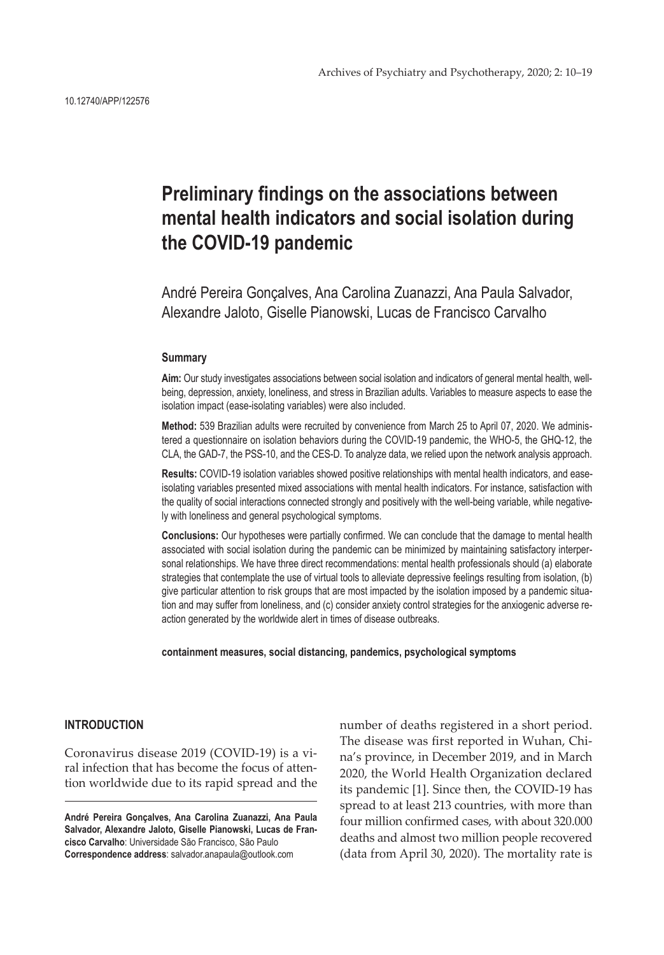# **Preliminary findings on the associations between mental health indicators and social isolation during the COVID-19 pandemic**

André Pereira Gonçalves, Ana Carolina Zuanazzi, Ana Paula Salvador, Alexandre Jaloto, Giselle Pianowski, Lucas de Francisco Carvalho

## **Summary**

**Aim:** Our study investigates associations between social isolation and indicators of general mental health, wellbeing, depression, anxiety, loneliness, and stress in Brazilian adults. Variables to measure aspects to ease the isolation impact (ease-isolating variables) were also included.

**Method:** 539 Brazilian adults were recruited by convenience from March 25 to April 07, 2020. We administered a questionnaire on isolation behaviors during the COVID-19 pandemic, the WHO-5, the GHQ-12, the CLA, the GAD-7, the PSS-10, and the CES-D. To analyze data, we relied upon the network analysis approach.

**Results:** COVID-19 isolation variables showed positive relationships with mental health indicators, and easeisolating variables presented mixed associations with mental health indicators. For instance, satisfaction with the quality of social interactions connected strongly and positively with the well-being variable, while negatively with loneliness and general psychological symptoms.

**Conclusions:** Our hypotheses were partially confirmed. We can conclude that the damage to mental health associated with social isolation during the pandemic can be minimized by maintaining satisfactory interpersonal relationships. We have three direct recommendations: mental health professionals should (a) elaborate strategies that contemplate the use of virtual tools to alleviate depressive feelings resulting from isolation, (b) give particular attention to risk groups that are most impacted by the isolation imposed by a pandemic situation and may suffer from loneliness, and (c) consider anxiety control strategies for the anxiogenic adverse reaction generated by the worldwide alert in times of disease outbreaks.

**containment measures, social distancing, pandemics, psychological symptoms**

# **INTRODUCTION**

Coronavirus disease 2019 (COVID-19) is a viral infection that has become the focus of attention worldwide due to its rapid spread and the

**André Pereira Gonçalves, Ana Carolina Zuanazzi, Ana Paula Salvador, Alexandre Jaloto, Giselle Pianowski, Lucas de Francisco Carvalho**: Universidade São Francisco, São Paulo **Correspondence address**: salvador.anapaula@outlook.com

number of deaths registered in a short period. The disease was first reported in Wuhan, China's province, in December 2019, and in March 2020, the World Health Organization declared its pandemic [1]. Since then, the COVID-19 has spread to at least 213 countries, with more than four million confirmed cases, with about 320.000 deaths and almost two million people recovered (data from April 30, 2020). The mortality rate is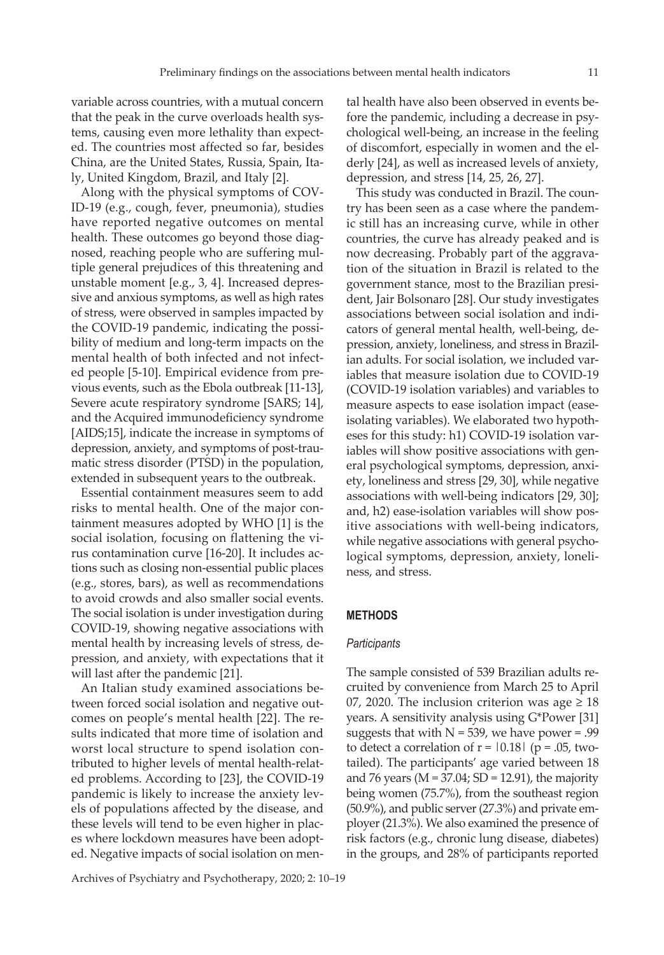variable across countries, with a mutual concern that the peak in the curve overloads health systems, causing even more lethality than expected. The countries most affected so far, besides China, are the United States, Russia, Spain, Italy, United Kingdom, Brazil, and Italy [2].

Along with the physical symptoms of COV-ID-19 (e.g., cough, fever, pneumonia), studies have reported negative outcomes on mental health. These outcomes go beyond those diagnosed, reaching people who are suffering multiple general prejudices of this threatening and unstable moment [e.g., 3, 4]. Increased depressive and anxious symptoms, as well as high rates of stress, were observed in samples impacted by the COVID-19 pandemic, indicating the possibility of medium and long-term impacts on the mental health of both infected and not infected people [5-10]. Empirical evidence from previous events, such as the Ebola outbreak [11-13], Severe acute respiratory syndrome [SARS; 14], and the Acquired immunodeficiency syndrome [AIDS;15], indicate the increase in symptoms of depression, anxiety, and symptoms of post-traumatic stress disorder (PTSD) in the population, extended in subsequent years to the outbreak.

Essential containment measures seem to add risks to mental health. One of the major containment measures adopted by WHO [1] is the social isolation, focusing on flattening the virus contamination curve [16-20]. It includes actions such as closing non-essential public places (e.g., stores, bars), as well as recommendations to avoid crowds and also smaller social events. The social isolation is under investigation during COVID-19, showing negative associations with mental health by increasing levels of stress, depression, and anxiety, with expectations that it will last after the pandemic [21].

An Italian study examined associations between forced social isolation and negative outcomes on people's mental health [22]. The results indicated that more time of isolation and worst local structure to spend isolation contributed to higher levels of mental health-related problems. According to [23], the COVID-19 pandemic is likely to increase the anxiety levels of populations affected by the disease, and these levels will tend to be even higher in places where lockdown measures have been adopted. Negative impacts of social isolation on mental health have also been observed in events before the pandemic, including a decrease in psychological well-being, an increase in the feeling of discomfort, especially in women and the elderly [24], as well as increased levels of anxiety, depression, and stress [14, 25, 26, 27].

This study was conducted in Brazil. The country has been seen as a case where the pandemic still has an increasing curve, while in other countries, the curve has already peaked and is now decreasing. Probably part of the aggravation of the situation in Brazil is related to the government stance, most to the Brazilian president, Jair Bolsonaro [28]. Our study investigates associations between social isolation and indicators of general mental health, well-being, depression, anxiety, loneliness, and stress in Brazilian adults. For social isolation, we included variables that measure isolation due to COVID-19 (COVID-19 isolation variables) and variables to measure aspects to ease isolation impact (easeisolating variables). We elaborated two hypotheses for this study: h1) COVID-19 isolation variables will show positive associations with general psychological symptoms, depression, anxiety, loneliness and stress [29, 30], while negative associations with well-being indicators [29, 30]; and, h2) ease-isolation variables will show positive associations with well-being indicators, while negative associations with general psychological symptoms, depression, anxiety, loneliness, and stress.

# **METHODS**

#### *Participants*

The sample consisted of 539 Brazilian adults recruited by convenience from March 25 to April 07, 2020. The inclusion criterion was age  $\geq 18$ years. A sensitivity analysis using G\*Power [31] suggests that with  $N = 539$ , we have power = .99 to detect a correlation of  $r = 0.18$  (p = .05, twotailed). The participants' age varied between 18 and 76 years ( $M = 37.04$ ; SD = 12.91), the majority being women (75.7%), from the southeast region (50.9%), and public server (27.3%) and private employer (21.3%). We also examined the presence of risk factors (e.g., chronic lung disease, diabetes) in the groups, and 28% of participants reported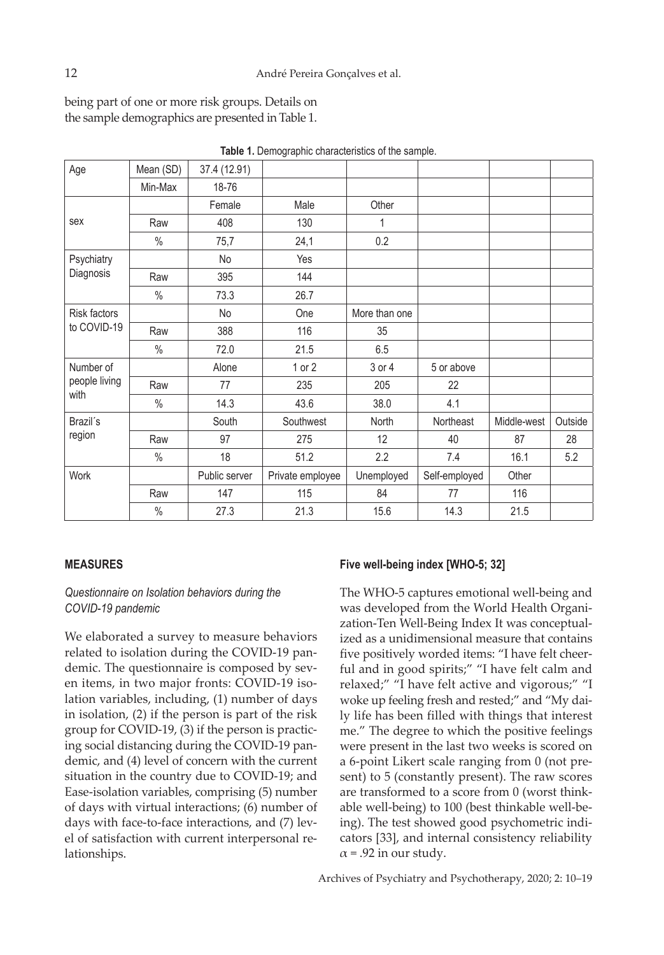being part of one or more risk groups. Details on the sample demographics are presented in Table 1.

| Age                                | Mean (SD)     | 37.4 (12.91)  |                  |               |               |             |         |
|------------------------------------|---------------|---------------|------------------|---------------|---------------|-------------|---------|
|                                    | Min-Max       | 18-76         |                  |               |               |             |         |
|                                    |               | Female        | Male             | Other         |               |             |         |
| sex                                | Raw           | 408           | 130              |               |               |             |         |
|                                    | $\frac{0}{0}$ | 75,7          | 24,1             | 0.2           |               |             |         |
| Psychiatry                         |               | No            | Yes              |               |               |             |         |
| Diagnosis                          | Raw           | 395           | 144              |               |               |             |         |
|                                    | $\frac{0}{0}$ | 73.3          | 26.7             |               |               |             |         |
| <b>Risk factors</b><br>to COVID-19 |               | No            | One              | More than one |               |             |         |
|                                    | Raw           | 388           | 116              | 35            |               |             |         |
|                                    | $\%$          | 72.0          | 21.5             | 6.5           |               |             |         |
| Number of                          |               | Alone         | $1$ or $2$       | 3 or 4        | 5 or above    |             |         |
| people living                      | Raw           | 77            | 235              | 205           | 22            |             |         |
| with                               | $\frac{0}{0}$ | 14.3          | 43.6             | 38.0          | 4.1           |             |         |
| Brazil's<br>region                 |               | South         | Southwest        | North         | Northeast     | Middle-west | Outside |
|                                    | Raw           | 97            | 275              | 12            | 40            | 87          | 28      |
|                                    | $\frac{0}{0}$ | 18            | 51.2             | 2.2           | 7.4           | 16.1        | 5.2     |
| Work                               |               | Public server | Private employee | Unemployed    | Self-employed | Other       |         |
|                                    | Raw           | 147           | 115              | 84            | 77            | 116         |         |
|                                    | $\%$          | 27.3          | 21.3             | 15.6          | 14.3          | 21.5        |         |

**Table 1.** Demographic characteristics of the sample.

# **MEASURES**

# *Questionnaire on Isolation behaviors during the COVID-19 pandemic*

We elaborated a survey to measure behaviors related to isolation during the COVID-19 pandemic. The questionnaire is composed by seven items, in two major fronts: COVID-19 isolation variables, including, (1) number of days in isolation, (2) if the person is part of the risk group for COVID-19, (3) if the person is practicing social distancing during the COVID-19 pandemic, and (4) level of concern with the current situation in the country due to COVID-19; and Ease-isolation variables, comprising (5) number of days with virtual interactions; (6) number of days with face-to-face interactions, and (7) level of satisfaction with current interpersonal relationships.

# **Five well-being index [WHO-5; 32]**

The WHO-5 captures emotional well-being and was developed from the World Health Organization-Ten Well-Being Index It was conceptualized as a unidimensional measure that contains five positively worded items: "I have felt cheerful and in good spirits;" "I have felt calm and relaxed;" "I have felt active and vigorous;" "I woke up feeling fresh and rested;" and "My daily life has been filled with things that interest me." The degree to which the positive feelings were present in the last two weeks is scored on a 6-point Likert scale ranging from 0 (not present) to 5 (constantly present). The raw scores are transformed to a score from 0 (worst thinkable well-being) to 100 (best thinkable well-being). The test showed good psychometric indicators [33], and internal consistency reliability  $\alpha$  = .92 in our study.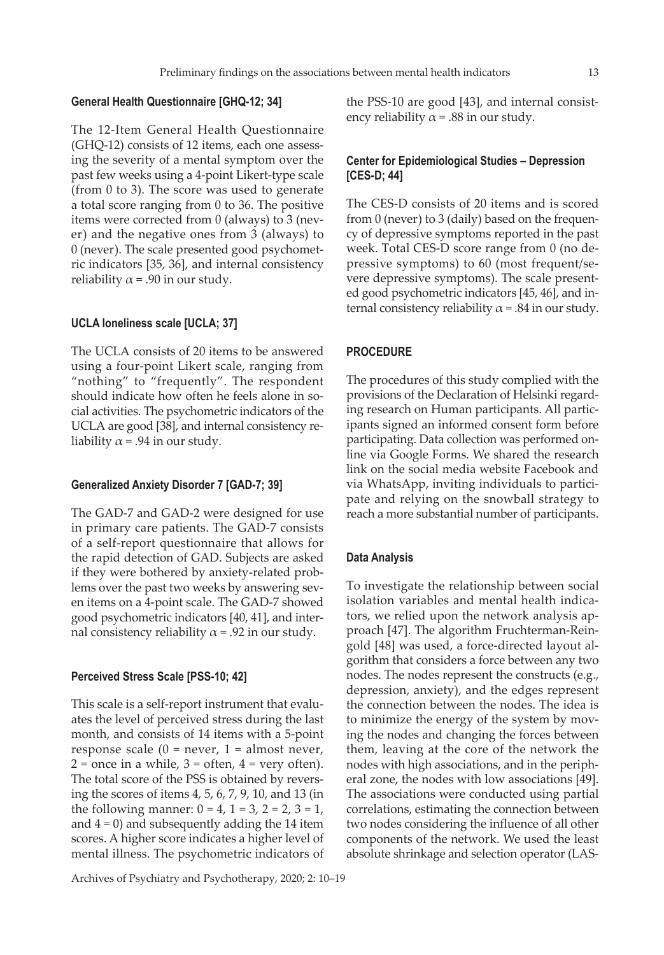### **General Health Questionnaire [GHQ-12; 34]**

The 12-Item General Health Questionnaire (GHQ-12) consists of 12 items, each one assessing the severity of a mental symptom over the past few weeks using a 4-point Likert-type scale (from 0 to 3). The score was used to generate a total score ranging from 0 to 36. The positive items were corrected from 0 (always) to 3 (never) and the negative ones from 3 (always) to 0 (never). The scale presented good psychometric indicators [35, 36], and internal consistency reliability  $\alpha$  = .90 in our study.

## **UCLA loneliness scale [UCLA; 37]**

The UCLA consists of 20 items to be answered using a four-point Likert scale, ranging from "nothing" to "frequently". The respondent should indicate how often he feels alone in social activities. The psychometric indicators of the UCLA are good [38], and internal consistency reliability  $\alpha$  = .94 in our study.

#### **Generalized Anxiety Disorder 7 [GAD-7; 39]**

The GAD-7 and GAD-2 were designed for use in primary care patients. The GAD-7 consists of a self-report questionnaire that allows for the rapid detection of GAD. Subjects are asked if they were bothered by anxiety-related problems over the past two weeks by answering seven items on a 4-point scale. The GAD-7 showed good psychometric indicators [40, 41], and internal consistency reliability  $\alpha$  = .92 in our study.

### **Perceived Stress Scale [PSS-10; 42]**

This scale is a self-report instrument that evaluates the level of perceived stress during the last month, and consists of 14 items with a 5-point response scale  $(0 = never, 1 = almost never,$  $2 =$  once in a while,  $3 =$  often,  $4 =$  very often). The total score of the PSS is obtained by reversing the scores of items 4, 5, 6, 7, 9, 10, and 13 (in the following manner:  $0 = 4$ ,  $1 = 3$ ,  $2 = 2$ ,  $3 = 1$ , and  $4 = 0$ ) and subsequently adding the 14 item scores. A higher score indicates a higher level of mental illness. The psychometric indicators of

**[CES-D; 44]** The CES-D consists of 20 items and is scored

ency reliability  $\alpha$  = .88 in our study.

from 0 (never) to 3 (daily) based on the frequency of depressive symptoms reported in the past week. Total CES-D score range from 0 (no depressive symptoms) to 60 (most frequent/severe depressive symptoms). The scale presented good psychometric indicators [45, 46], and internal consistency reliability  $\alpha$  = .84 in our study.

the PSS-10 are good [43], and internal consist-

**Center for Epidemiological Studies – Depression**

## **PROCEDURE**

The procedures of this study complied with the provisions of the Declaration of Helsinki regarding research on Human participants. All participants signed an informed consent form before participating. Data collection was performed online via Google Forms. We shared the research link on the social media website Facebook and via WhatsApp, inviting individuals to participate and relying on the snowball strategy to reach a more substantial number of participants.

# **Data Analysis**

To investigate the relationship between social isolation variables and mental health indicators, we relied upon the network analysis approach [47]. The algorithm Fruchterman-Reingold [48] was used, a force-directed layout algorithm that considers a force between any two nodes. The nodes represent the constructs (e.g., depression, anxiety), and the edges represent the connection between the nodes. The idea is to minimize the energy of the system by moving the nodes and changing the forces between them, leaving at the core of the network the nodes with high associations, and in the peripheral zone, the nodes with low associations [49]. The associations were conducted using partial correlations, estimating the connection between two nodes considering the influence of all other components of the network. We used the least absolute shrinkage and selection operator (LAS-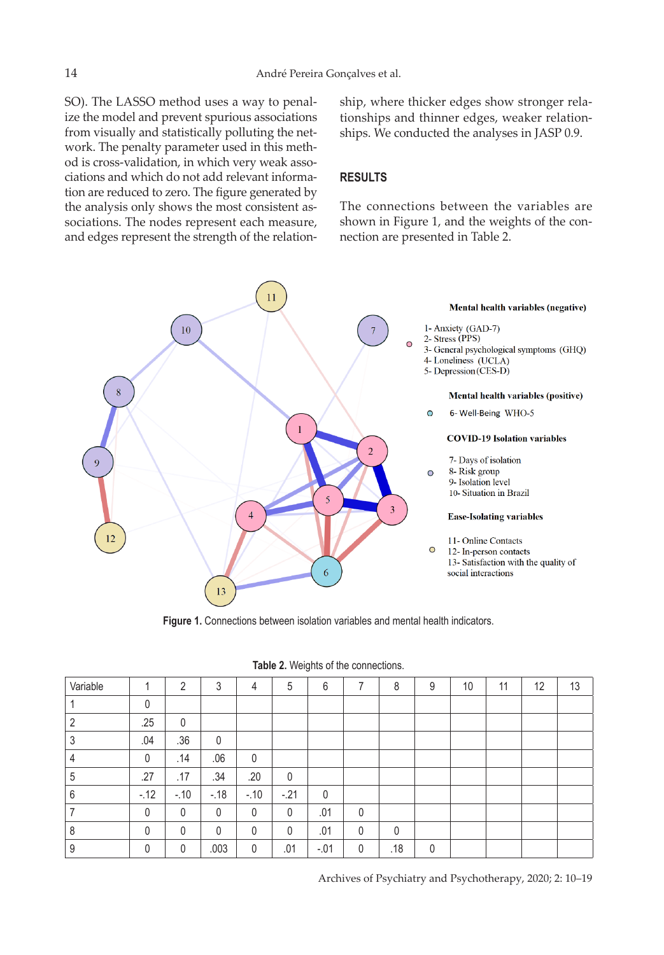SO). The LASSO method uses a way to penalize the model and prevent spurious associations from visually and statistically polluting the network. The penalty parameter used in this method is cross-validation, in which very weak associations and which do not add relevant information are reduced to zero. The figure generated by the analysis only shows the most consistent associations. The nodes represent each measure, and edges represent the strength of the relationship, where thicker edges show stronger relationships and thinner edges, weaker relationships. We conducted the analyses in JASP 0.9.

# **RESULTS**

The connections between the variables are shown in Figure 1, and the weights of the connection are presented in Table 2.



**Figure 1.** Connections between isolation variables and mental health indicators.

| Table 2. Weights of the connections. |
|--------------------------------------|
|--------------------------------------|

| Variable |              | $\overline{2}$ | 3            | $\overline{4}$ | 5            | 6      | ⇁            | 8        | 9 | 10 | 11 | 12 | 13 |
|----------|--------------|----------------|--------------|----------------|--------------|--------|--------------|----------|---|----|----|----|----|
|          | 0            |                |              |                |              |        |              |          |   |    |    |    |    |
|          | .25          | $\mathbf 0$    |              |                |              |        |              |          |   |    |    |    |    |
|          | .04          | .36            | 0            |                |              |        |              |          |   |    |    |    |    |
|          | 0            | .14            | .06          | $\mathbf 0$    |              |        |              |          |   |    |    |    |    |
| .5       | .27          | .17            | .34          | .20            | 0            |        |              |          |   |    |    |    |    |
| 6        | $-12$        | $-.10$         | $-.18$       | $-.10$         | $-21$        | 0      |              |          |   |    |    |    |    |
|          | $\mathbf{0}$ | $\mathbf{0}$   | $\mathbf{0}$ | $\mathbf{0}$   | $\mathbf{0}$ | .01    | $\mathbf{0}$ |          |   |    |    |    |    |
| 8        | 0            | $\mathbf{0}$   | $\Omega$     | $\Omega$       | $\mathbf{0}$ | .01    | 0            | $\Omega$ |   |    |    |    |    |
| 9        | 0            | 0              | .003         | 0              | .01          | $-.01$ | 0            | .18      | 0 |    |    |    |    |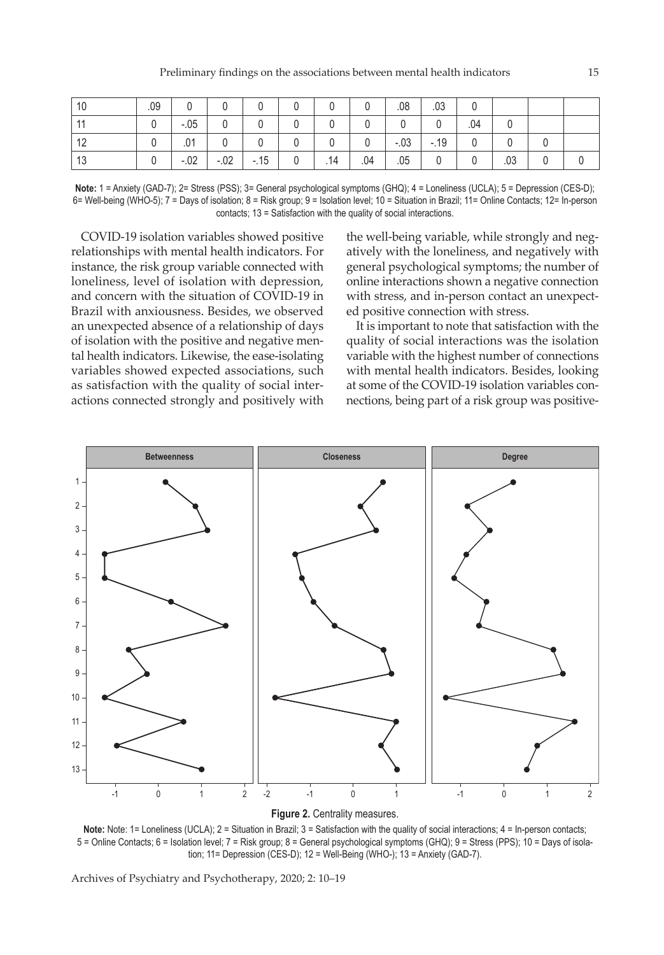| -10   | .09 |        |             |       |                |     |     | .08    | .03      |              |     |  |
|-------|-----|--------|-------------|-------|----------------|-----|-----|--------|----------|--------------|-----|--|
| $-11$ |     | $-.05$ | 0           |       |                |     |     |        |          | .04          |     |  |
| 12    |     | .01    | $\mathbf 0$ |       |                |     |     | $-.03$ | $1 - 19$ |              |     |  |
| 13    |     | $-.02$ | $-.02$      | $-15$ | $\overline{0}$ | .14 | .04 | .05    |          | $\mathbf{0}$ | .03 |  |

**Note:** 1 = Anxiety (GAD-7); 2= Stress (PSS); 3= General psychological symptoms (GHQ); 4 = Loneliness (UCLA); 5 = Depression (CES-D); 6= Well-being (WHO-5); 7 = Days of isolation; 8 = Risk group; 9 = Isolation level; 10 = Situation in Brazil; 11= Online Contacts; 12= In-person contacts; 13 = Satisfaction with the quality of social interactions.

COVID-19 isolation variables showed positive relationships with mental health indicators. For instance, the risk group variable connected with loneliness, level of isolation with depression, and concern with the situation of COVID-19 in Brazil with anxiousness. Besides, we observed an unexpected absence of a relationship of days of isolation with the positive and negative mental health indicators. Likewise, the ease-isolating variables showed expected associations, such as satisfaction with the quality of social interactions connected strongly and positively with

the well-being variable, while strongly and negatively with the loneliness, and negatively with general psychological symptoms; the number of online interactions shown a negative connection with stress, and in-person contact an unexpected positive connection with stress.

It is important to note that satisfaction with the quality of social interactions was the isolation variable with the highest number of connections with mental health indicators. Besides, looking at some of the COVID-19 isolation variables connections, being part of a risk group was positive-





Note: Note: 1= Loneliness (UCLA); 2 = Situation in Brazil; 3 = Satisfaction with the quality of social interactions; 4 = In-person contacts; 5 = Online Contacts; 6 = Isolation level; 7 = Risk group; 8 = General psychological symptoms (GHQ); 9 = Stress (PPS); 10 = Days of isolation; 11= Depression (CES-D); 12 = Well-Being (WHO-); 13 = Anxiety (GAD-7).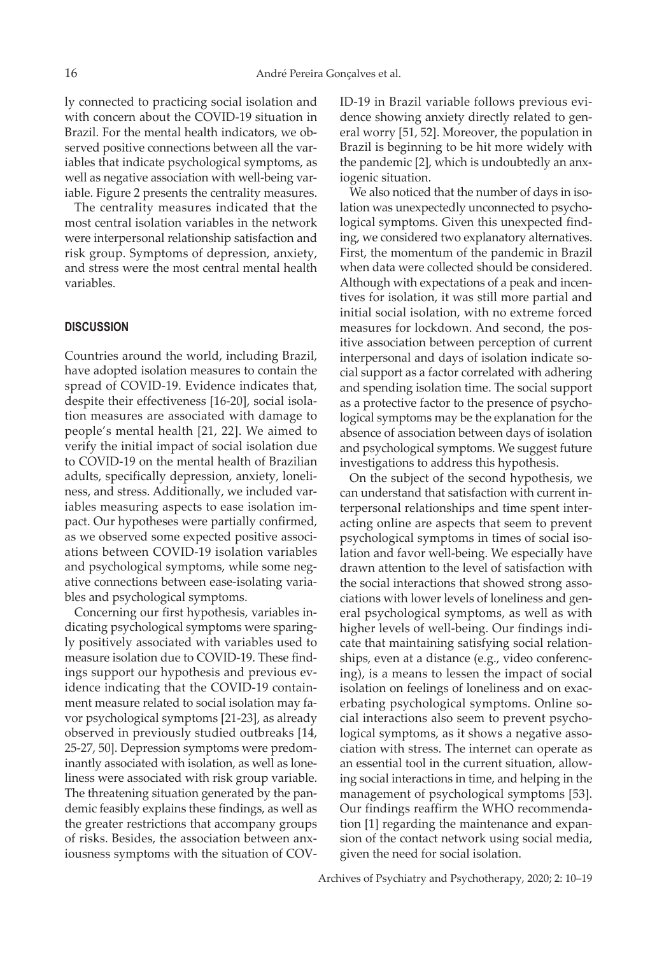ly connected to practicing social isolation and with concern about the COVID-19 situation in Brazil. For the mental health indicators, we observed positive connections between all the variables that indicate psychological symptoms, as well as negative association with well-being variable. Figure 2 presents the centrality measures.

The centrality measures indicated that the most central isolation variables in the network were interpersonal relationship satisfaction and risk group. Symptoms of depression, anxiety, and stress were the most central mental health variables.

# **DISCUSSION**

Countries around the world, including Brazil, have adopted isolation measures to contain the spread of COVID-19. Evidence indicates that, despite their effectiveness [16-20], social isolation measures are associated with damage to people's mental health [21, 22]. We aimed to verify the initial impact of social isolation due to COVID-19 on the mental health of Brazilian adults, specifically depression, anxiety, loneliness, and stress. Additionally, we included variables measuring aspects to ease isolation impact. Our hypotheses were partially confirmed, as we observed some expected positive associations between COVID-19 isolation variables and psychological symptoms, while some negative connections between ease-isolating variables and psychological symptoms.

Concerning our first hypothesis, variables indicating psychological symptoms were sparingly positively associated with variables used to measure isolation due to COVID-19. These findings support our hypothesis and previous evidence indicating that the COVID-19 containment measure related to social isolation may favor psychological symptoms [21-23], as already observed in previously studied outbreaks [14, 25-27, 50]. Depression symptoms were predominantly associated with isolation, as well as loneliness were associated with risk group variable. The threatening situation generated by the pandemic feasibly explains these findings, as well as the greater restrictions that accompany groups of risks. Besides, the association between anxiousness symptoms with the situation of COV- ID-19 in Brazil variable follows previous evidence showing anxiety directly related to general worry [51, 52]. Moreover, the population in Brazil is beginning to be hit more widely with the pandemic [2], which is undoubtedly an anxiogenic situation.

We also noticed that the number of days in isolation was unexpectedly unconnected to psychological symptoms. Given this unexpected finding, we considered two explanatory alternatives. First, the momentum of the pandemic in Brazil when data were collected should be considered. Although with expectations of a peak and incentives for isolation, it was still more partial and initial social isolation, with no extreme forced measures for lockdown. And second, the positive association between perception of current interpersonal and days of isolation indicate social support as a factor correlated with adhering and spending isolation time. The social support as a protective factor to the presence of psychological symptoms may be the explanation for the absence of association between days of isolation and psychological symptoms. We suggest future investigations to address this hypothesis.

On the subject of the second hypothesis, we can understand that satisfaction with current interpersonal relationships and time spent interacting online are aspects that seem to prevent psychological symptoms in times of social isolation and favor well-being. We especially have drawn attention to the level of satisfaction with the social interactions that showed strong associations with lower levels of loneliness and general psychological symptoms, as well as with higher levels of well-being. Our findings indicate that maintaining satisfying social relationships, even at a distance (e.g., video conferencing), is a means to lessen the impact of social isolation on feelings of loneliness and on exacerbating psychological symptoms. Online social interactions also seem to prevent psychological symptoms, as it shows a negative association with stress. The internet can operate as an essential tool in the current situation, allowing social interactions in time, and helping in the management of psychological symptoms [53]. Our findings reaffirm the WHO recommendation [1] regarding the maintenance and expansion of the contact network using social media, given the need for social isolation.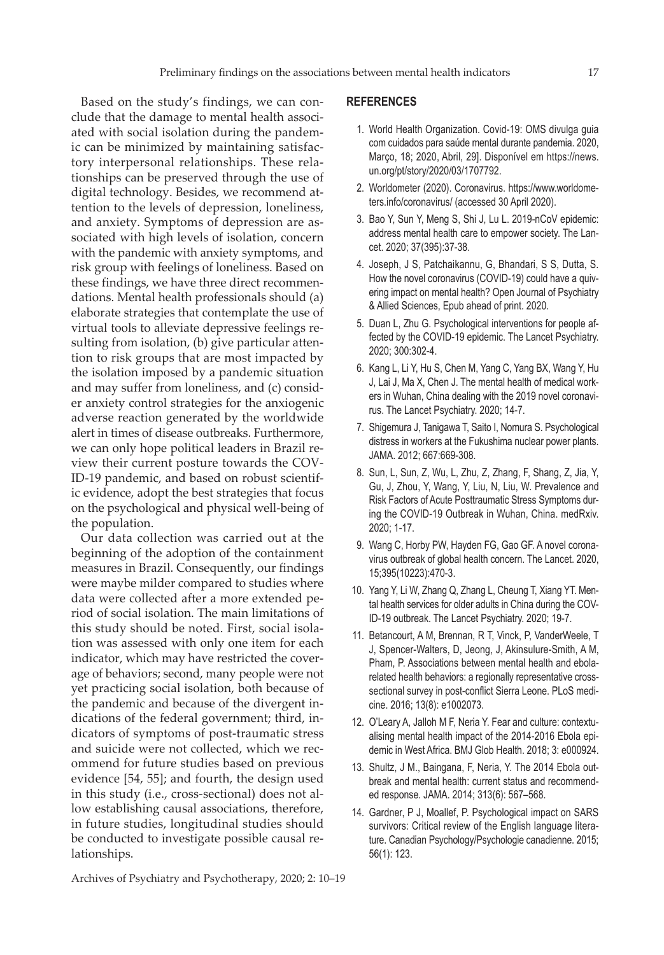Based on the study's findings, we can conclude that the damage to mental health associated with social isolation during the pandemic can be minimized by maintaining satisfactory interpersonal relationships. These relationships can be preserved through the use of digital technology. Besides, we recommend attention to the levels of depression, loneliness, and anxiety. Symptoms of depression are associated with high levels of isolation, concern with the pandemic with anxiety symptoms, and risk group with feelings of loneliness. Based on these findings, we have three direct recommendations. Mental health professionals should (a) elaborate strategies that contemplate the use of virtual tools to alleviate depressive feelings resulting from isolation, (b) give particular attention to risk groups that are most impacted by the isolation imposed by a pandemic situation and may suffer from loneliness, and (c) consider anxiety control strategies for the anxiogenic adverse reaction generated by the worldwide alert in times of disease outbreaks. Furthermore, we can only hope political leaders in Brazil review their current posture towards the COV-ID-19 pandemic, and based on robust scientific evidence, adopt the best strategies that focus on the psychological and physical well-being of the population.

Our data collection was carried out at the beginning of the adoption of the containment measures in Brazil. Consequently, our findings were maybe milder compared to studies where data were collected after a more extended period of social isolation. The main limitations of this study should be noted. First, social isolation was assessed with only one item for each indicator, which may have restricted the coverage of behaviors; second, many people were not yet practicing social isolation, both because of the pandemic and because of the divergent indications of the federal government; third, indicators of symptoms of post-traumatic stress and suicide were not collected, which we recommend for future studies based on previous evidence [54, 55]; and fourth, the design used in this study (i.e., cross-sectional) does not allow establishing causal associations, therefore, in future studies, longitudinal studies should be conducted to investigate possible causal relationships.

### **REFERENCES**

- 1. World Health Organization. Covid-19: OMS divulga guia com cuidados para saúde mental durante pandemia. 2020, Março, 18; 2020, Abril, 29]. Disponível em https://news. un.org/pt/story/2020/03/1707792.
- 2. Worldometer (2020). Coronavirus. https://www.worldometers.info/coronavirus/ (accessed 30 April 2020).
- 3. Bao Y, Sun Y, Meng S, Shi J, Lu L. 2019-nCoV epidemic: address mental health care to empower society. The Lancet. 2020; 37(395):37-38.
- 4. Joseph, J S, Patchaikannu, G, Bhandari, S S, Dutta, S. How the novel coronavirus (COVID-19) could have a quivering impact on mental health? Open Journal of Psychiatry & Allied Sciences, Epub ahead of print. 2020.
- 5. Duan L, Zhu G. Psychological interventions for people affected by the COVID-19 epidemic. The Lancet Psychiatry. 2020; 300:302-4.
- 6. Kang L, Li Y, Hu S, Chen M, Yang C, Yang BX, Wang Y, Hu J, Lai J, Ma X, Chen J. The mental health of medical workers in Wuhan, China dealing with the 2019 novel coronavirus. The Lancet Psychiatry. 2020; 14-7.
- 7. Shigemura J, Tanigawa T, Saito I, Nomura S. Psychological distress in workers at the Fukushima nuclear power plants. JAMA. 2012; 667:669-308.
- 8. Sun, L, Sun, Z, Wu, L, Zhu, Z, Zhang, F, Shang, Z, Jia, Y, Gu, J, Zhou, Y, Wang, Y, Liu, N, Liu, W. Prevalence and Risk Factors of Acute Posttraumatic Stress Symptoms during the COVID-19 Outbreak in Wuhan, China. medRxiv. 2020; 1-17.
- 9. Wang C, Horby PW, Hayden FG, Gao GF. A novel coronavirus outbreak of global health concern. The Lancet. 2020, 15;395(10223):470-3.
- 10. Yang Y, Li W, Zhang Q, Zhang L, Cheung T, Xiang YT. Mental health services for older adults in China during the COV-ID-19 outbreak. The Lancet Psychiatry. 2020; 19-7.
- 11. Betancourt, A M, Brennan, R T, Vinck, P, VanderWeele, T J, Spencer-Walters, D, Jeong, J, Akinsulure-Smith, A M, Pham, P. Associations between mental health and ebolarelated health behaviors: a regionally representative crosssectional survey in post-conflict Sierra Leone. PLoS medicine. 2016; 13(8): e1002073.
- 12. O'Leary A, Jalloh M F, Neria Y. Fear and culture: contextualising mental health impact of the 2014-2016 Ebola epidemic in West Africa. BMJ Glob Health. 2018; 3: e000924.
- 13. Shultz, J M., Baingana, F, Neria, Y. The 2014 Ebola outbreak and mental health: current status and recommended response. JAMA. 2014; 313(6): 567–568.
- 14. Gardner, P J, Moallef, P. Psychological impact on SARS survivors: Critical review of the English language literature. Canadian Psychology/Psychologie canadienne. 2015; 56(1): 123.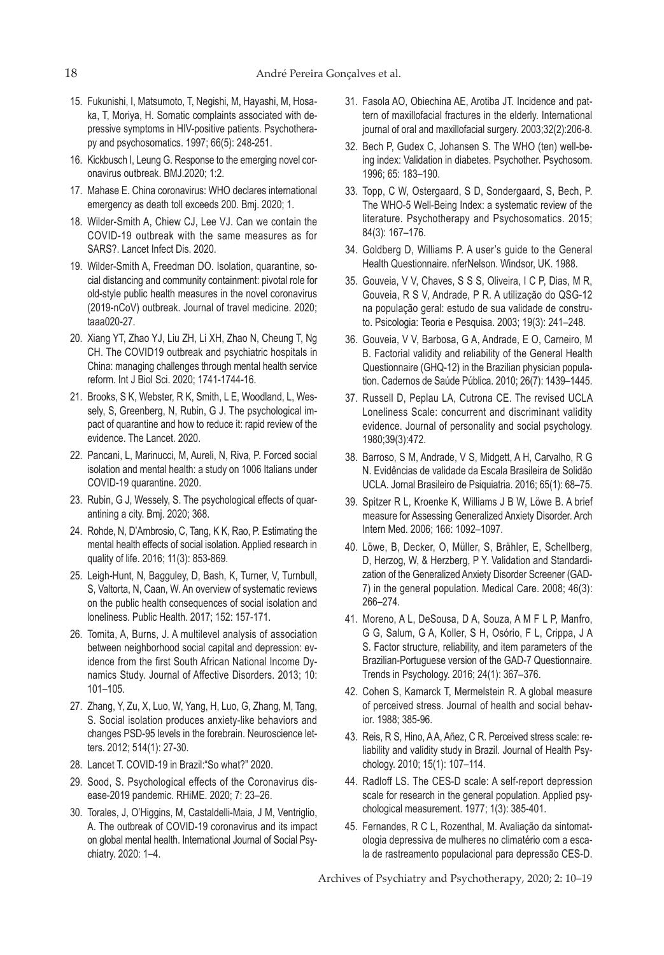- 15. Fukunishi, I, Matsumoto, T, Negishi, M, Hayashi, M, Hosaka, T, Moriya, H. Somatic complaints associated with depressive symptoms in HIV-positive patients. Psychotherapy and psychosomatics. 1997; 66(5): 248-251.
- 16. Kickbusch I, Leung G. Response to the emerging novel coronavirus outbreak. BMJ.2020; 1:2.
- 17. Mahase E. China coronavirus: WHO declares international emergency as death toll exceeds 200. Bmj. 2020; 1.
- 18. Wilder-Smith A, Chiew CJ, Lee VJ. Can we contain the COVID-19 outbreak with the same measures as for SARS?. Lancet Infect Dis. 2020.
- 19. Wilder-Smith A, Freedman DO. Isolation, quarantine, social distancing and community containment: pivotal role for old-style public health measures in the novel coronavirus (2019-nCoV) outbreak. Journal of travel medicine. 2020; taaa020-27.
- 20. Xiang YT, Zhao YJ, Liu ZH, Li XH, Zhao N, Cheung T, Ng CH. The COVID19 outbreak and psychiatric hospitals in China: managing challenges through mental health service reform. Int J Biol Sci. 2020; 1741-1744-16.
- 21. Brooks, S K, Webster, R K, Smith, L E, Woodland, L, Wessely, S, Greenberg, N, Rubin, G J. The psychological impact of quarantine and how to reduce it: rapid review of the evidence. The Lancet. 2020.
- 22. Pancani, L, Marinucci, M, Aureli, N, Riva, P. Forced social isolation and mental health: a study on 1006 Italians under COVID-19 quarantine. 2020.
- 23. Rubin, G J, Wessely, S. The psychological effects of quarantining a city. Bmj. 2020; 368.
- 24. Rohde, N, D'Ambrosio, C, Tang, K K, Rao, P. Estimating the mental health effects of social isolation. Applied research in quality of life. 2016; 11(3): 853-869.
- 25. Leigh-Hunt, N, Bagguley, D, Bash, K, Turner, V, Turnbull, S, Valtorta, N, Caan, W. An overview of systematic reviews on the public health consequences of social isolation and loneliness. Public Health. 2017; 152: 157-171.
- 26. Tomita, A, Burns, J. A multilevel analysis of association between neighborhood social capital and depression: evidence from the first South African National Income Dynamics Study. Journal of Affective Disorders. 2013; 10: 101–105.
- 27. Zhang, Y, Zu, X, Luo, W, Yang, H, Luo, G, Zhang, M, Tang, S. Social isolation produces anxiety-like behaviors and changes PSD-95 levels in the forebrain. Neuroscience letters. 2012; 514(1): 27-30.
- 28. Lancet T. COVID-19 in Brazil:"So what?" 2020.
- 29. Sood, S. Psychological effects of the Coronavirus disease-2019 pandemic. RHiME. 2020; 7: 23–26.
- 30. Torales, J, O'Higgins, M, Castaldelli-Maia, J M, Ventriglio, A. The outbreak of COVID-19 coronavirus and its impact on global mental health. International Journal of Social Psychiatry. 2020: 1–4.
- 31. Fasola AO, Obiechina AE, Arotiba JT. Incidence and pattern of maxillofacial fractures in the elderly. International journal of oral and maxillofacial surgery. 2003;32(2):206-8.
- 32. Bech P, Gudex C, Johansen S. The WHO (ten) well-being index: Validation in diabetes. Psychother. Psychosom. 1996; 65: 183–190.
- 33. Topp, C W, Ostergaard, S D, Sondergaard, S, Bech, P. The WHO-5 Well-Being Index: a systematic review of the literature. Psychotherapy and Psychosomatics. 2015; 84(3): 167–176.
- 34. Goldberg D, Williams P. A user's guide to the General Health Questionnaire. nferNelson. Windsor, UK. 1988.
- 35. Gouveia, V V, Chaves, S S S, Oliveira, I C P, Dias, M R, Gouveia, R S V, Andrade, P R. A utilização do QSG-12 na população geral: estudo de sua validade de construto. Psicologia: Teoria e Pesquisa. 2003; 19(3): 241–248.
- 36. Gouveia, V V, Barbosa, G A, Andrade, E O, Carneiro, M B. Factorial validity and reliability of the General Health Questionnaire (GHQ-12) in the Brazilian physician population. Cadernos de Saúde Pública. 2010; 26(7): 1439–1445.
- 37. Russell D, Peplau LA, Cutrona CE. The revised UCLA Loneliness Scale: concurrent and discriminant validity evidence. Journal of personality and social psychology. 1980;39(3):472.
- 38. Barroso, S M, Andrade, V S, Midgett, A H, Carvalho, R G N. Evidências de validade da Escala Brasileira de Solidão UCLA. Jornal Brasileiro de Psiquiatria. 2016; 65(1): 68–75.
- 39. Spitzer R L, Kroenke K, Williams J B W, Löwe B. A brief measure for Assessing Generalized Anxiety Disorder. Arch Intern Med. 2006; 166: 1092–1097.
- 40. Löwe, B, Decker, O, Müller, S, Brähler, E, Schellberg, D, Herzog, W, & Herzberg, P Y. Validation and Standardization of the Generalized Anxiety Disorder Screener (GAD-7) in the general population. Medical Care. 2008; 46(3): 266–274.
- 41. Moreno, A L, DeSousa, D A, Souza, A M F L P, Manfro, G G, Salum, G A, Koller, S H, Osório, F L, Crippa, J A S. Factor structure, reliability, and item parameters of the Brazilian-Portuguese version of the GAD-7 Questionnaire. Trends in Psychology. 2016; 24(1): 367–376.
- 42. Cohen S, Kamarck T, Mermelstein R. A global measure of perceived stress. Journal of health and social behavior. 1988; 385-96.
- 43. Reis, R S, Hino, A A, Añez, C R. Perceived stress scale: reliability and validity study in Brazil. Journal of Health Psychology. 2010; 15(1): 107–114.
- 44. Radloff LS. The CES-D scale: A self-report depression scale for research in the general population. Applied psychological measurement. 1977; 1(3): 385-401.
- 45. Fernandes, R C L, Rozenthal, M. Avaliação da sintomatologia depressiva de mulheres no climatério com a escala de rastreamento populacional para depressão CES-D.